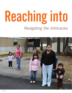# *Navigating the Intricacies of Serving Undocumented Families* **Reaching into**

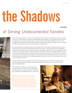# **Reaching into the Shadows**

**by Carol Ward**

## *of Serving Undocumented Families*

Early in the summer of 2012, a cover story in *Time* magazine featured a group of young people who have "come out" in a new way. These individuals, brought to the United States as small children, were openly declaring their status as non-citizens via social media and other outlets in an effort to effect political change. Whether or not as a result, President Obama announced in June 2012 that hundreds of thousands of people who immigrated to the U.S. illegally as children will be allowed to stay and work without fear of being deported.

Such developments have fueled the debate about immigration in the United States, but these stories don't capture the realities of the lives of undocumented people living in this country— a group that the Center for Immigration Studies numbered in 2009 at nearly 11 million. Many are concentrated in specific areas, with, for example, 2.7 million in California, 1.45 million in Texas, 1.05 million in Florida, and 925,000 in New York, according to the Pew Research Center; approximately 80 percent are from Latin American countries (the majority of those from Mexico), 12 percent from Asia, 4 percent from Europe and Canada, and 4 percent from Africa and other places. They come to the U.S. for reasons ranging from extreme poverty to political oppression in their native countries; once here, many have a tenuous personal safety net at best.

"Undocumented families are among the most resourceless population in the United States," says Ruben Garcia, director of El Paso's Annunciation House, a privately funded shelter and assistance center that serves mainly undocumented individuals.

"These families are unable to access the most basic of social services that we usually count on to help people keep their heads above water," Garcia adds. "That makes life very difficult and marginalizes people in a severe way."

#### *Left: The Center for Immigration Studies estimates that nearly 11 million people in the United States are undocumented.*

*Right: A strict immigration law in Alabama, HB-56, requires police, schools, and hospitals to check the immigration status of students, patients, and anyone stopped and suspected of being an undocumented immigrant. The law has both the legal and undocumented Latino population in the state fearful of deportation and family breakups. A young girl does her homework in a home of mixed citizenship. Half the family is worried about sudden deportation, while others, born in the U.S., have full citizenship.*

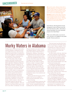### Uncensored



*Left: A worker assists a Mexican family with immigration paperwork in her Garden City, Kansas, office. Her clients range from completely undocumented residents to those seeking to visit their home countries and needing the proper paperwork to return to the United States legally.* 

*Lower right: Volunteers prepare bags of food that will be distributed at the Community Posada to support immigrant families who are struggling in the challenging Arizona economy— one made more difficult by the new laws regarding the employment of undocumented workers.*

Susan Bowyer, directing attorney for the Immigration Center for Women and Children's San Francisco office, calls undocumented individuals "the most vulnerable people in the United States."

"They can't call the police or access services, and they're not eligible for any public benefits," Bowyer points out.

# **Murky Waters in Alabama**

Finding ways to reach and assist undocumented families in Alabama became more difficult last year, when the state legislature passed what is considered to be the most aggressive anti-immigration law among all states, surpassing even the restrictions of Arizona's law.

Four other states (Utah, Georgia, Indiana, and South Carolina) have passed immigration-enforcement laws, while eight more (Oklahoma, Missouri, Mississippi, Tennessee, Kentucky, Virginia, North Carolina, and Florida) have made moves toward doing so. Among other restrictions, Arizona's SB 1070, passed in 2010, made it a misdemeanor for an alien to be in Arizona without carrying the required documents; it also required that state law-enforcement officials attempt to determine individuals' immigration status during lawful stops, detentions, or arrests, or during " lawful contacts," when there is reasonable suspicion that the individual is an illegal immigrant. (The U.S. Supreme Court struck down parts of the law in June 2012.) In Alabama "we took

Arizona's bad law and made it worse," says Stephen Stetson, a policy analyst at the Arise Citizens' Policy Project, a Montgomery, Alabama– based group that addresses poverty issues in the state.

Alabama's new law instructs police to check the immigration status of anyone they stop if they suspect the person of being an undocumented immigrant. The law also makes it a felony to harbor, shield, or transport illegal immigrants, although it is unclear where the burden of knowledge lies. In October 2011 the 11th U.S. Circuit Court of Appeals temporarily blocked several portions of the law, including a requirement that schools check the immigration status of new students and their families.

Stetson says the law has put a severe crimp in the services available to undocumented individuals, such as access to housing.

"To rent an apartment to someone who is undocumented is criminalized in Alabama," he says, noting that landlords are handling the new rules in various ways.

"The law doesn't say that [the landlord] must demand citizenship papers, but he could," Stetson explains. "A lot of landlords are erring on the side of caution. It's been extremely hard for a lot of these people to enter into lease agreements."

An early version of the law, which has since been amended, was interpreted to mean that state-run utility companies could not enter into business transactions with undocumented individuals. For the winter of 2011–12, that meant many undocumented families were without heat and running water.

Providing food assistance has also become fraught with difficulty. Dick Hiatt, executive director of the Food Bank of North Alabama in Huntsville, says excessive paperwork, fears of prosecution, and lower food volume are three results of the new law.

The Food Bank of North Alabama serves as a wholesaler, distributing food—including government food provided through The Emergency Food Assistance Program (TEFAP)— to several groups throughout the region. Because it receives that food from the federal government, it is considered to be a state-funded entity. Under the new law,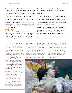That inability to access public services is exacerbated by the other significant problems that undocumented individuals typically face, including threat of deportation, barriers to working legally, and being barred from low-income housing. In addition, they are often hesitant to seek medical care or ask for help in school for fear of drawing attention to their families' illegal status.

The agencies that exist to help the poor in this country are often stymied in their efforts to assist undocumented individuals and families, due to restrictive or confusing laws governing who is eligible for help. Yet there are strategies that service providers can use to best meet the needs of undocumented clients. The first step is outreach.

#### **Ask? Don't Ask?**

Experts in the field say that there are programs to address many of the crises that befall undocumented families —including homelessness and lack of food— on an alarmingly regular basis. But many of these families are loath to be found out, or to give any information that might reveal their undocumented status.

Eliana Kaimowitz, an attorney and equal justice works fellow for the California Rural Legal Assistance Foundation, maintains that having that information is crucial to determine the most efficient way to help.

"It's really hard to help people if you don't know what's going on," Kaimowitz says. "It's important to let people know that immigration status won't preclude you from helping them, but it may help clarify what type of help you can give them." She suggests assuring clients that the service provider "has an obligation not to disclose" the information with others.

"Not asking about it just further perpetuates the undergroundness of it all," Kaimowitz adds. "What's really terrible is that so many families are eligible for services but they're not getting them." She points to mixed-status families, in which one or more members are U.S. citizens while others are not, as a key example.

Others say asking about immigration status creates an unneces-

the Food Bank of North Alabama must prove that no group it conducts business with employs any illegal immigrants.

"It all has to be done formally, and all the documents have to be notarized," Hiatt says, noting that his organization is audited regularly.

For the rural churches and groups that rely on the food bank, this level of bureaucracy is daunting.

"It's very confusing for a lot of these small organizations," Hiatt says, adding that several are noncompliant. "We have to place them on hold until they can get their paperwork done. Their whole mission is to feed hungry people, and this has made trying to help people in need much more difficult."

The challenges do not end there. According to Hiatt, the new law requires that if any agency is providing assistance based on any criteria— such as means testing — then that agency must determine if the person receiving the food is an American citizen.

An obvious way around that problem would be to eliminate the means testing, which would then exempt the agency from inquiring about

immigration status — except that under federal law, food provided through the TEFAP program requires such testing.

"The problem is that without federal food there isn't much food available," says Hiatt. "Ever since the economy went south it's been federal food that has held us together." That problem has been made worse by the diminished farming in Alabama— due to a lack of migrant labor under the new ruleswhich means food banks can no longer rely on "community food security" programs, as they did in the past.

The solution is less than ideal. "Many of the food banks are just getting everybody they serve to sign a statement saying they are a U.S. citizen, regardless of the reality, and that gets [the food bank] off the hook," Hiatt says, adding, "It's just gotten insane down at the distribution level." ■

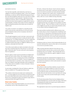### Uncensored

sary barrier to services.

"It's clear that nonprofits, under federal law, don't have an obligation to ask about immigration status," in the view of Meliah Schultzman, an attorney with the National Housing Law Project. She notes that immigration status does not come down to simply being documented or undocumented— that there are many categories in between. There is considerable confusion at the provider level about which programs are applicable for undocumented families or families whose status is between illegal and legal, meaning that questions about status may not always be helpful to ask.

"As a policy it would be very helpful if a nonprofit provider made it clear from the outset that they do not need to know about immigration status and are not going to ask about it," Schultzman says.

"Even though immigration is such a hot topic, most social workers don't know anything about how it works and what the different statuses are," according to Kaimowitz. "It's more complicated than just having a green card or being undocumented. There are different statuses that make you eligible for different types of assistance, and people don't know that.

"A lot of the social workers are really overworked so they don't have time to ask their supervisor, they just say 'no, you're ineligible'," Kaimowitz adds. "It's more work and in some situations there is no guidance."

Bowyer's agency works to get documentation for illegal immigrants who meet certain criteria. One example is those who have applied for U Visas. Created by the Victims of Trafficking and Violence Protection Act of 2000, U Visas are designed to provide lawful status to noncitizen crime victims who are assisting or are willing to assist legal authorities with investigations. U Visa status may be available to victims of domestic violence or certain other crimes.

In some states, including New York and California, public benefits are available for U Visa applicants, Bowyer says.

"The problem is that front-end workers don't understand the law— a woman applies for services but they are denied because the social worker tells her she needs a social security number," Bowyer says, noting that her agency has started a major effort to educate providers with regard to this issue.

### **Mixed-status Families**

The extent to which mixed-status families can access services is an important, and too often misunderstood, issue.

El Centro, a Kansas City, Kansas – based outreach organization that focuses on the Latino community, provides myriad services for both documented and undocumented families in the area. Melinda Lewis, public-policy consultant for El Centro, claims that most undocumented families are of mixed status, with one or more children having citizenship.

Fear among this group runs high, according to Lewis, making it difficult to provide any assistance. "We have many, many immigrant parents who won't apply for food assistance for their children," she says. "They won't believe us when we say they are in fact eligible because they are afraid of discriminatory action, or even afraid of adverse immigration action."

That same problem manifests itself in different ways across the country when it comes to housing issues, Schultzman says. She notes the U.S. Department of Housing and Urban Development rule that households cannot be rejected for low-income housing because they have one or more undocumented members; the assistance level is based on the number of documented individuals.

Schultzman points out, however, that housing authorities do not typically understand the nuances of the rules, so it is incumbent on local service providers to know.

"Many housing authorities still have forms that say every household member must provide a social security number," Schultzman says as an example. "That automatically turns a lot of families off who otherwise might be eligible for mixedhousehold status."

Schultzman says that she understands the immigrants' fear of being exposed if they reveal their status — but that she has not encountered any situations in which undocumented occupants have been reported.

### **In the Trenches**

Many efforts to help noncitizen residents can get mired in the details of who legally qualifies for what services and, equally important, how to convey the intricacies of the law to overworked providers and disenfranchised immigrant families. But out in the trenches, service providers are coming up with ways to help undocumented families gain a footing in this country.

For 34 years Annunciation House has been helping undocumented individuals who cross the border into Texas, with Garcia estimating that the shelter has hosted nearly 120,000 undocumented people during that time.

The organization's main role is to provide temporary shelter for